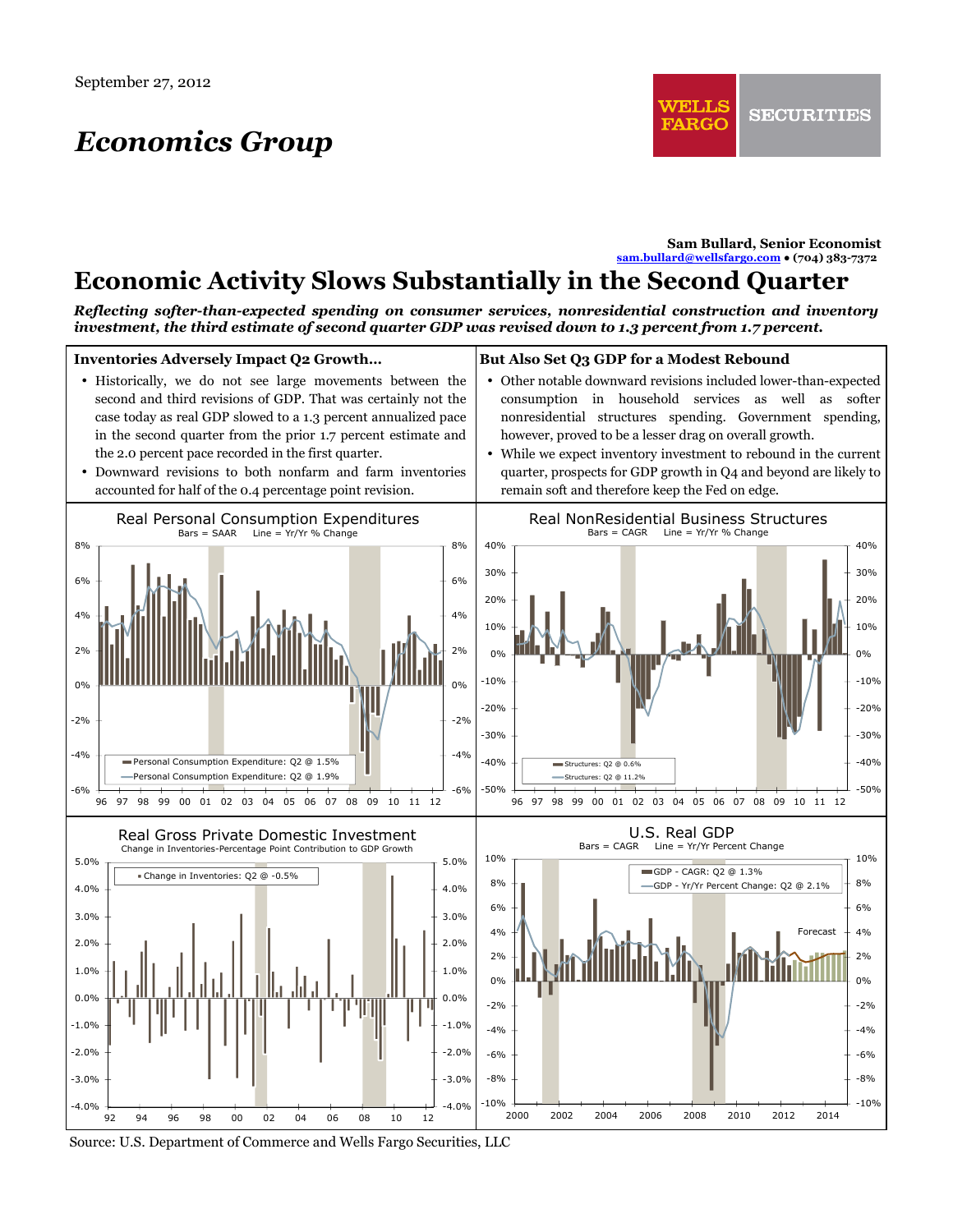# *Economics Group*

**Sam Bullard, Senior Economist sam.bullard@wellsfargo.com ● (704) 383-7372** 

## **Economic Activity Slows Substantially in the Second Quarter**

*Reflecting softer-than-expected spending on consumer services, nonresidential construction and inventory investment, the third estimate of second quarter GDP was revised down to 1.3 percent from 1.7 percent.* 



Source: U.S. Department of Commerce and Wells Fargo Securities, LLC